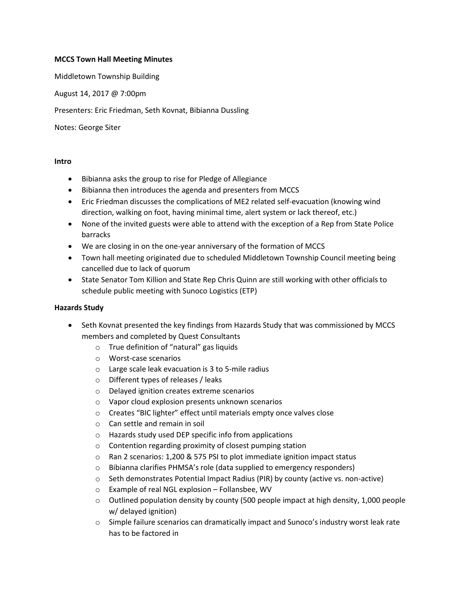#### **MCCS Town Hall Meeting Minutes**

Middletown Township Building

August 14, 2017 @ 7:00pm

Presenters: Eric Friedman, Seth Kovnat, Bibianna Dussling

Notes: George Siter

#### **Intro**

- Bibianna asks the group to rise for Pledge of Allegiance
- Bibianna then introduces the agenda and presenters from MCCS
- Eric Friedman discusses the complications of ME2 related self-evacuation (knowing wind direction, walking on foot, having minimal time, alert system or lack thereof, etc.)
- None of the invited guests were able to attend with the exception of a Rep from State Police barracks
- We are closing in on the one-year anniversary of the formation of MCCS
- Town hall meeting originated due to scheduled Middletown Township Council meeting being cancelled due to lack of quorum
- State Senator Tom Killion and State Rep Chris Quinn are still working with other officials to schedule public meeting with Sunoco Logistics (ETP)

#### **Hazards Study**

- Seth Kovnat presented the key findings from Hazards Study that was commissioned by MCCS members and completed by Quest Consultants
	- o True definition of "natural" gas liquids
	- o Worst-case scenarios
	- o Large scale leak evacuation is 3 to 5-mile radius
	- o Different types of releases / leaks
	- o Delayed ignition creates extreme scenarios
	- o Vapor cloud explosion presents unknown scenarios
	- o Creates "BIC lighter" effect until materials empty once valves close
	- o Can settle and remain in soil
	- o Hazards study used DEP specific info from applications
	- o Contention regarding proximity of closest pumping station
	- o Ran 2 scenarios: 1,200 & 575 PSI to plot immediate ignition impact status
	- o Bibianna clarifies PHMSA's role (data supplied to emergency responders)
	- $\circ$  Seth demonstrates Potential Impact Radius (PIR) by county (active vs. non-active)
	- o Example of real NGL explosion Follansbee, WV
	- $\circ$  Outlined population density by county (500 people impact at high density, 1,000 people w/ delayed ignition)
	- o Simple failure scenarios can dramatically impact and Sunoco's industry worst leak rate has to be factored in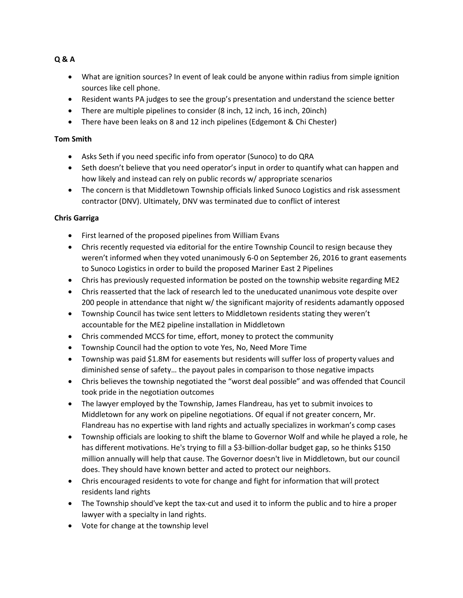- What are ignition sources? In event of leak could be anyone within radius from simple ignition sources like cell phone.
- Resident wants PA judges to see the group's presentation and understand the science better
- There are multiple pipelines to consider (8 inch, 12 inch, 16 inch, 20inch)
- There have been leaks on 8 and 12 inch pipelines (Edgemont & Chi Chester)

## **Tom Smith**

- Asks Seth if you need specific info from operator (Sunoco) to do QRA
- Seth doesn't believe that you need operator's input in order to quantify what can happen and how likely and instead can rely on public records w/ appropriate scenarios
- The concern is that Middletown Township officials linked Sunoco Logistics and risk assessment contractor (DNV). Ultimately, DNV was terminated due to conflict of interest

# **Chris Garriga**

- First learned of the proposed pipelines from William Evans
- Chris recently requested via editorial for the entire Township Council to resign because they weren't informed when they voted unanimously 6-0 on September 26, 2016 to grant easements to Sunoco Logistics in order to build the proposed Mariner East 2 Pipelines
- Chris has previously requested information be posted on the township website regarding ME2
- Chris reasserted that the lack of research led to the uneducated unanimous vote despite over 200 people in attendance that night w/ the significant majority of residents adamantly opposed
- Township Council has twice sent letters to Middletown residents stating they weren't accountable for the ME2 pipeline installation in Middletown
- Chris commended MCCS for time, effort, money to protect the community
- Township Council had the option to vote Yes, No, Need More Time
- Township was paid \$1.8M for easements but residents will suffer loss of property values and diminished sense of safety… the payout pales in comparison to those negative impacts
- Chris believes the township negotiated the "worst deal possible" and was offended that Council took pride in the negotiation outcomes
- The lawyer employed by the Township, James Flandreau, has yet to submit invoices to Middletown for any work on pipeline negotiations. Of equal if not greater concern, Mr. Flandreau has no expertise with land rights and actually specializes in workman's comp cases
- Township officials are looking to shift the blame to Governor Wolf and while he played a role, he has different motivations. He's trying to fill a \$3-billion-dollar budget gap, so he thinks \$150 million annually will help that cause. The Governor doesn't live in Middletown, but our council does. They should have known better and acted to protect our neighbors.
- Chris encouraged residents to vote for change and fight for information that will protect residents land rights
- The Township should've kept the tax-cut and used it to inform the public and to hire a proper lawyer with a specialty in land rights.
- Vote for change at the township level

# **Q & A**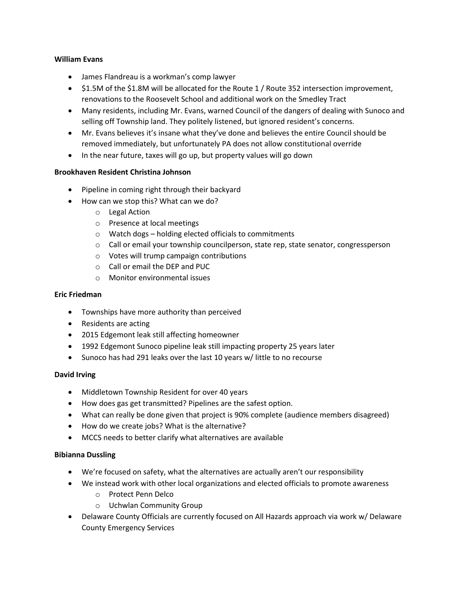#### **William Evans**

- James Flandreau is a workman's comp lawyer
- \$1.5M of the \$1.8M will be allocated for the Route 1 / Route 352 intersection improvement, renovations to the Roosevelt School and additional work on the Smedley Tract
- Many residents, including Mr. Evans, warned Council of the dangers of dealing with Sunoco and selling off Township land. They politely listened, but ignored resident's concerns.
- Mr. Evans believes it's insane what they've done and believes the entire Council should be removed immediately, but unfortunately PA does not allow constitutional override
- In the near future, taxes will go up, but property values will go down

## **Brookhaven Resident Christina Johnson**

- Pipeline in coming right through their backyard
- How can we stop this? What can we do?
	- o Legal Action
	- o Presence at local meetings
	- o Watch dogs holding elected officials to commitments
	- o Call or email your township councilperson, state rep, state senator, congressperson
	- o Votes will trump campaign contributions
	- o Call or email the DEP and PUC
	- o Monitor environmental issues

### **Eric Friedman**

- Townships have more authority than perceived
- Residents are acting
- 2015 Edgemont leak still affecting homeowner
- 1992 Edgemont Sunoco pipeline leak still impacting property 25 years later
- Sunoco has had 291 leaks over the last 10 years w/ little to no recourse

#### **David Irving**

- Middletown Township Resident for over 40 years
- How does gas get transmitted? Pipelines are the safest option.
- What can really be done given that project is 90% complete (audience members disagreed)
- How do we create jobs? What is the alternative?
- MCCS needs to better clarify what alternatives are available

## **Bibianna Dussling**

- We're focused on safety, what the alternatives are actually aren't our responsibility
- We instead work with other local organizations and elected officials to promote awareness
	- o Protect Penn Delco
	- o Uchwlan Community Group
- Delaware County Officials are currently focused on All Hazards approach via work w/ Delaware County Emergency Services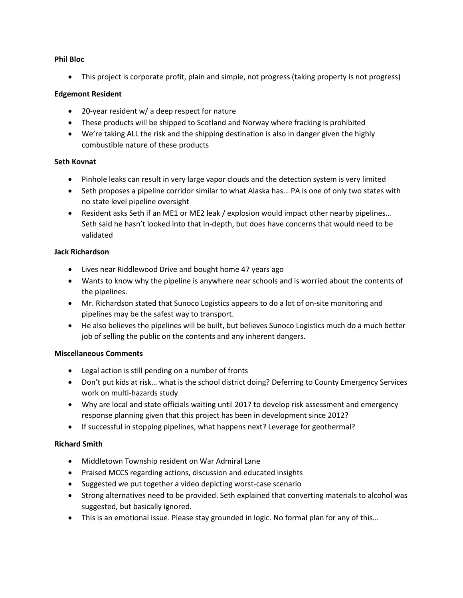#### **Phil Bloc**

This project is corporate profit, plain and simple, not progress (taking property is not progress)

## **Edgemont Resident**

- 20-year resident w/ a deep respect for nature
- These products will be shipped to Scotland and Norway where fracking is prohibited
- We're taking ALL the risk and the shipping destination is also in danger given the highly combustible nature of these products

## **Seth Kovnat**

- Pinhole leaks can result in very large vapor clouds and the detection system is very limited
- Seth proposes a pipeline corridor similar to what Alaska has... PA is one of only two states with no state level pipeline oversight
- Resident asks Seth if an ME1 or ME2 leak / explosion would impact other nearby pipelines… Seth said he hasn't looked into that in-depth, but does have concerns that would need to be validated

### **Jack Richardson**

- Lives near Riddlewood Drive and bought home 47 years ago
- Wants to know why the pipeline is anywhere near schools and is worried about the contents of the pipelines.
- Mr. Richardson stated that Sunoco Logistics appears to do a lot of on-site monitoring and pipelines may be the safest way to transport.
- He also believes the pipelines will be built, but believes Sunoco Logistics much do a much better job of selling the public on the contents and any inherent dangers.

## **Miscellaneous Comments**

- Legal action is still pending on a number of fronts
- Don't put kids at risk… what is the school district doing? Deferring to County Emergency Services work on multi-hazards study
- Why are local and state officials waiting until 2017 to develop risk assessment and emergency response planning given that this project has been in development since 2012?
- If successful in stopping pipelines, what happens next? Leverage for geothermal?

## **Richard Smith**

- Middletown Township resident on War Admiral Lane
- Praised MCCS regarding actions, discussion and educated insights
- Suggested we put together a video depicting worst-case scenario
- Strong alternatives need to be provided. Seth explained that converting materials to alcohol was suggested, but basically ignored.
- This is an emotional issue. Please stay grounded in logic. No formal plan for any of this…